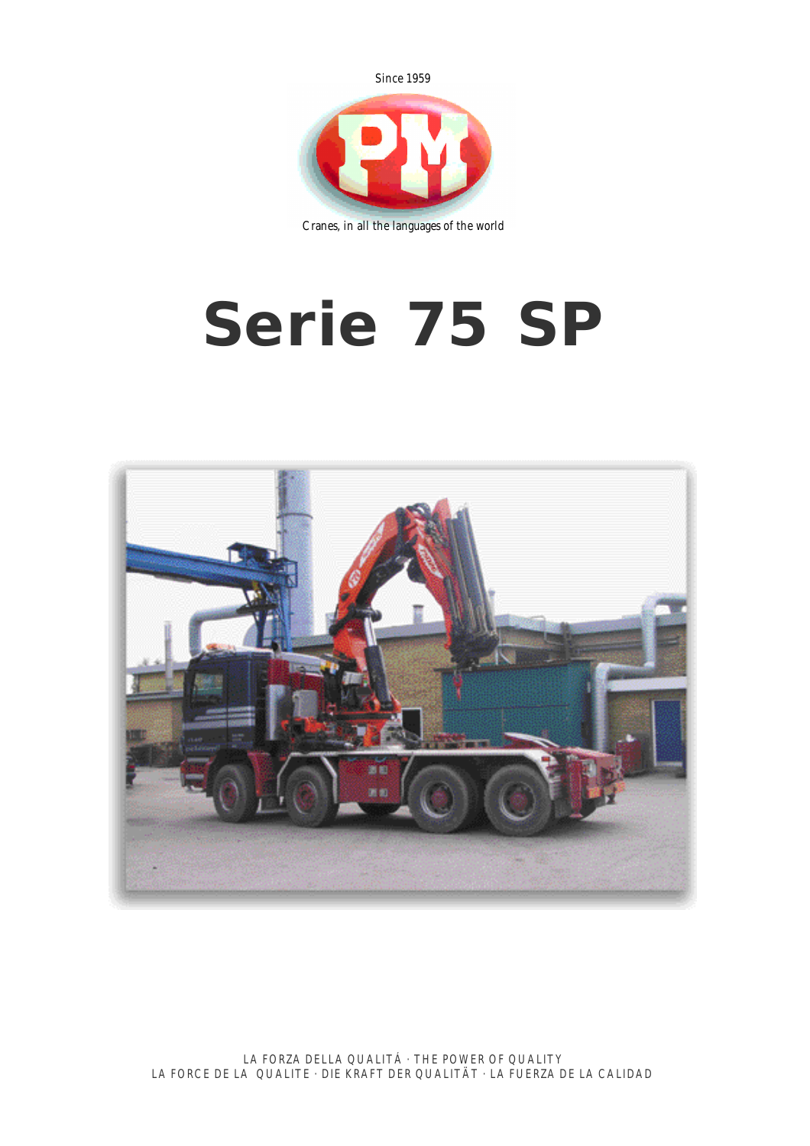Since 1959



Cranes, in all the languages of the world

# *Serie 75 SP*



*LA FORZA DELLA QUALITÁ · THE POWER OF QUALITY LA FORCE DE LA QUALITE · DIE KRAFT DER QUALITÄT · LA FUERZA DE LA CALIDAD*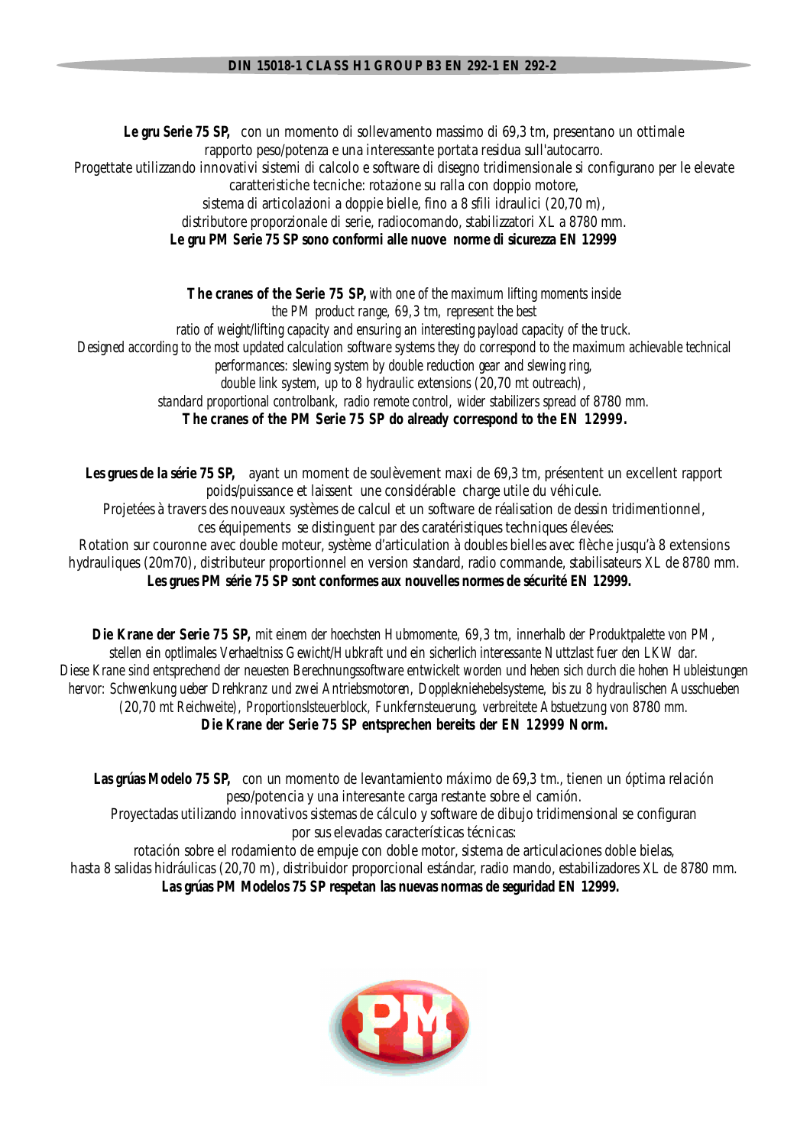**Le gru Serie 75 SP,** con un momento di sollevamento massimo di 69,3 tm, presentano un ottimale rapporto peso/potenza e una interessante portata residua sull'autocarro. Progettate utilizzando innovativi sistemi di calcolo e software di disegno tridimensionale si configurano per le elevate caratteristiche tecniche: rotazione su ralla con doppio motore, sistema di articolazioni a doppie bielle, fino a 8 sfili idraulici (20,70 m), distributore proporzionale di serie, radiocomando, stabilizzatori XL a 8780 mm. **Le gru PM Serie 75 SP sono conformi alle nuove norme di sicurezza EN 12999** *The cranes of the Serie 75 SP, with one of the maximum lifting moments inside the PM product range, 69,3 tm, represent the best ratio of weight/lifting capacity and ensuring an interesting payload capacity of the truck. Designed according to the most updated calculation software systems they do correspond to the maximum achievable technical*

*performances: slewing system by double reduction gear and slewing ring,* 

*double link system, up to 8 hydraulic extensions (20,70 mt outreach),* 

standard proportional controlbank, radio remote control, wider stabilizers spread of 8780 mm.

*The cranes of the PM Serie 75 SP do already correspond to the EN 12999.*

**Les grues de la série 75 SP,** ayant un moment de soulèvement maxi de 69,3 tm, présentent un excellent rapport poids/puissance et laissent une considérable charge utile du véhicule. Projetées à travers des nouveaux systèmes de calcul et un software de réalisation de dessin tridimentionnel, ces équipements se distinguent par des caratéristiques techniques élevées: Rotation sur couronne avec double moteur, système d'articulation à doubles bielles avec flèche jusqu'à 8 extensions hydrauliques (20m70), distributeur proportionnel en version standard, radio commande, stabilisateurs XL de 8780 mm. **Les grues PM série 75 SP sont conformes aux nouvelles normes de sécurité EN 12999.**

*Die Krane der Serie 75 SP, mit einem der hoechsten Hubmomente, 69,3 tm, innerhalb der Produktpalette von PM, stellen ein optlimales Verhaeltniss Gewicht/Hubkraft und ein sicherlich interessante Nuttzlast fuer den LKW dar. Diese Krane sind entsprechend der neuesten Berechnungssoftware entwickelt worden und heben sich durch die hohen Hubleistungen hervor: Schwenkung ueber Drehkranz und zwei Antriebsmotoren, Dopplekniehebelsysteme, bis zu 8 hydraulischen Ausschueben* (20,70 mt Reichweite), Proportionslsteuerblock, Funkfernsteuerung, verbreitete Abstuetzung von 8780 mm. *Die Krane der Serie 75 SP entsprechen bereits der EN 12999 Norm.*

**Las grúas Modelo 75 SP,** con un momento de levantamiento máximo de 69,3 tm., tienen un óptima relación peso/potencia y una interesante carga restante sobre el camión. Proyectadas utilizando innovativos sistemas de cálculo y software de dibujo tridimensional se configuran por sus elevadas características técnicas: rotación sobre el rodamiento de empuje con doble motor, sistema de articulaciones doble bielas, hasta 8 salidas hidráulicas (20,70 m), distribuidor proporcional estándar, radio mando, estabilizadores XL de 8780 mm. **Las grúas PM Modelos 75 SP respetan las nuevas normas de seguridad EN 12999.**

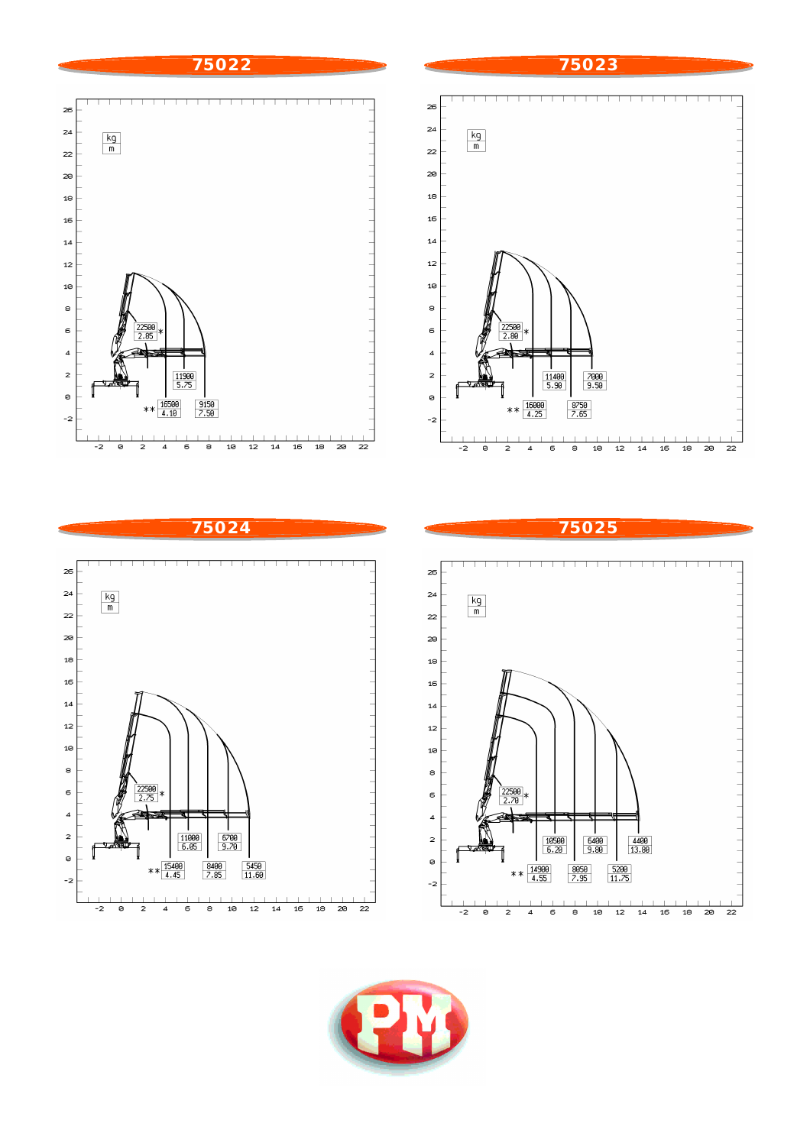*75023*









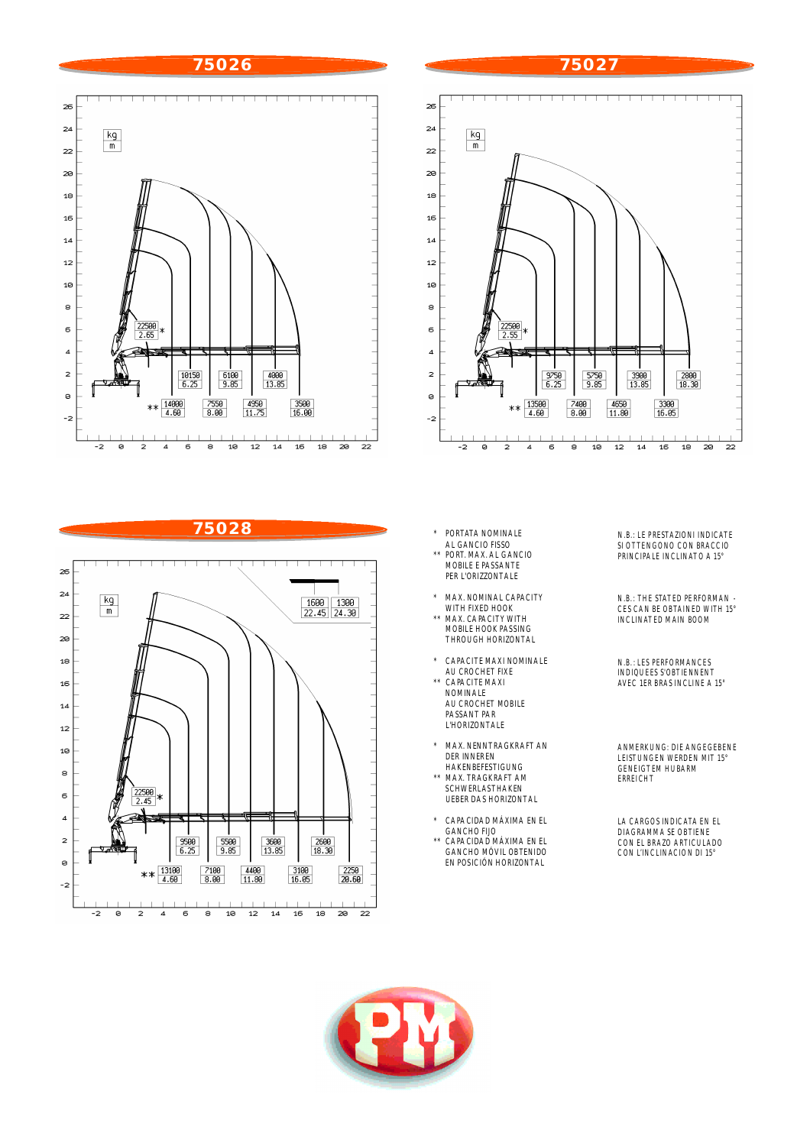*75026 75027*







- \* PORTATA NOMINALE
- AL GANCIO FISSO \*\* PORT. MAX. AL GANCIO MOBILE E PASSANTE PER L'ORIZZONTALE
- MAX. NOMINAL CAPACITY
- WITH FIXED HOOK \*\* MAX. CAPACITY WITH
- MOBILE HOOK PASSING THROUGH HORIZONTAL
- \* C A PACITE MAXI NOMINALE AU CROCHET FIXE \*\* CAPACITE MAXI NOMINALE AU CROCHET MOBILE
	- PASSANT PAR L'HORIZONTALE
- \* MAX. NENNTRAGKRAFT AN DER INNEREN HAKENBEFESTIGUNG
- $\hspace{0.1mm}^{\ast\ast}$  MAX. TRAGKRAFT AM SCHWERLASTHAKEN UEBER DAS HORIZONTAL
- $^\ast$  CAPACIDAD MÁXIMA EN EL
- GANCHO FIJO<br>\*\* CAPACIDAD MÁXIMA EN EL GANCHO MÓVIL OBTENIDO EN POSICIÓN HORIZONTAL

*SI OTTENGONO CON BRACCIO* **PRINCIPALE INCLINATO A 15°** 

*N.B.: THE STATED PERFORMAN - CES CAN BE OBTAINED WITH 15° I N C L I N ATED MAIN BOOM*

*N.B.: LES PERFORMANCES INDIQUEES S'OBTIENNENT AVEC 1ER BRAS INCLINE A 15°*

*ANMERKUNG: DIE ANGEGEBENE LEISTUNGEN WERDEN MIT 15° GENEIGTEM HUBARM ERREICHT* 

*LA CARGOS INDICATA EN EL DIAGRAMMA SE OBTIENE CON EL BRAZO ART I C U L A D O CON L'INCLINACION DI 15°* 

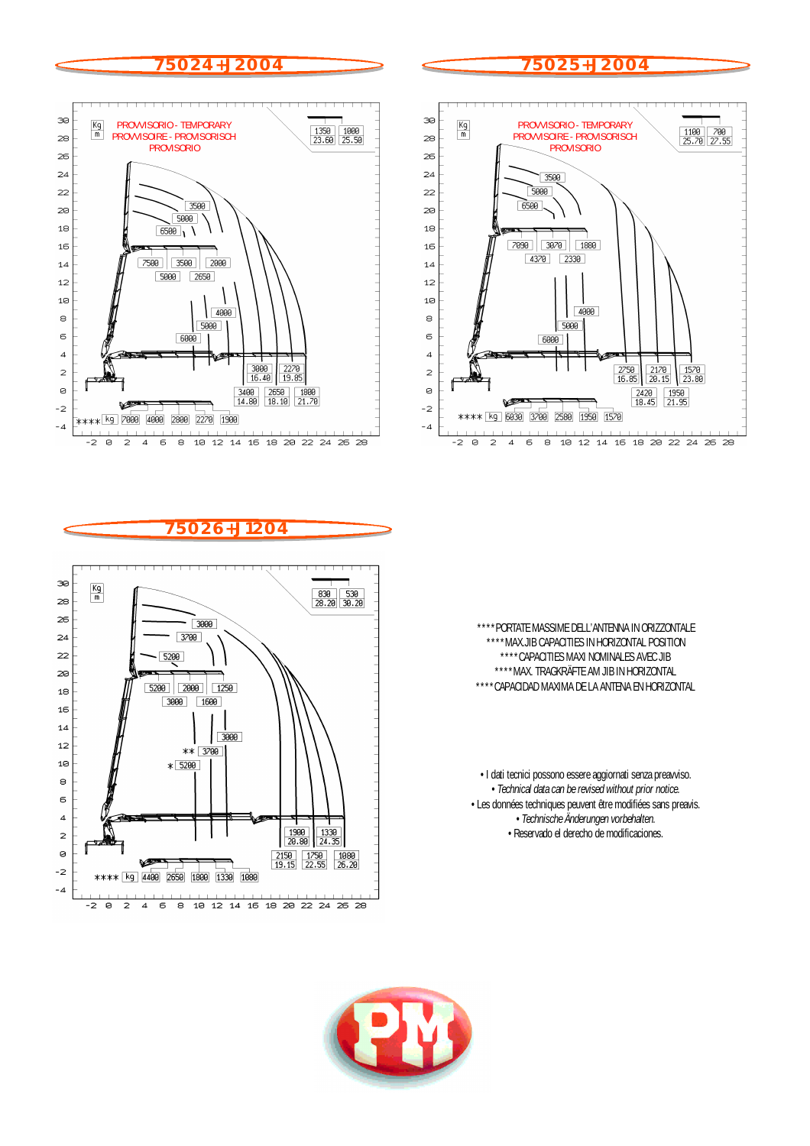#### *75024+J2004 75025+J2004*







\*\*\*\*PORTATE MASSIME DELL'ANTENNA IN ORIZZONTALE \*\*\*\*MAX.JIB CAPACITIES IN HORIZONTAL POSITION \*\*\*\*CAPACITIES MAXI NOMINALES AVEC JIB \*\*\*\*MAX. TRAGKRÄFTE AM JIB IN HORIZONTAL \*\*\*\*CAPACIDAD MAXIMA DE LA ANTENA EN HORIZONTAL

• I dati tecnici possono essere aggiornati senza preavviso. *• Technical data can be revised without prior notice.* • Les données techniques peuvent être modifiées sans preavis. *• Technische Änderungen vorbehalten.* • Reservado el derecho de modificaciones.

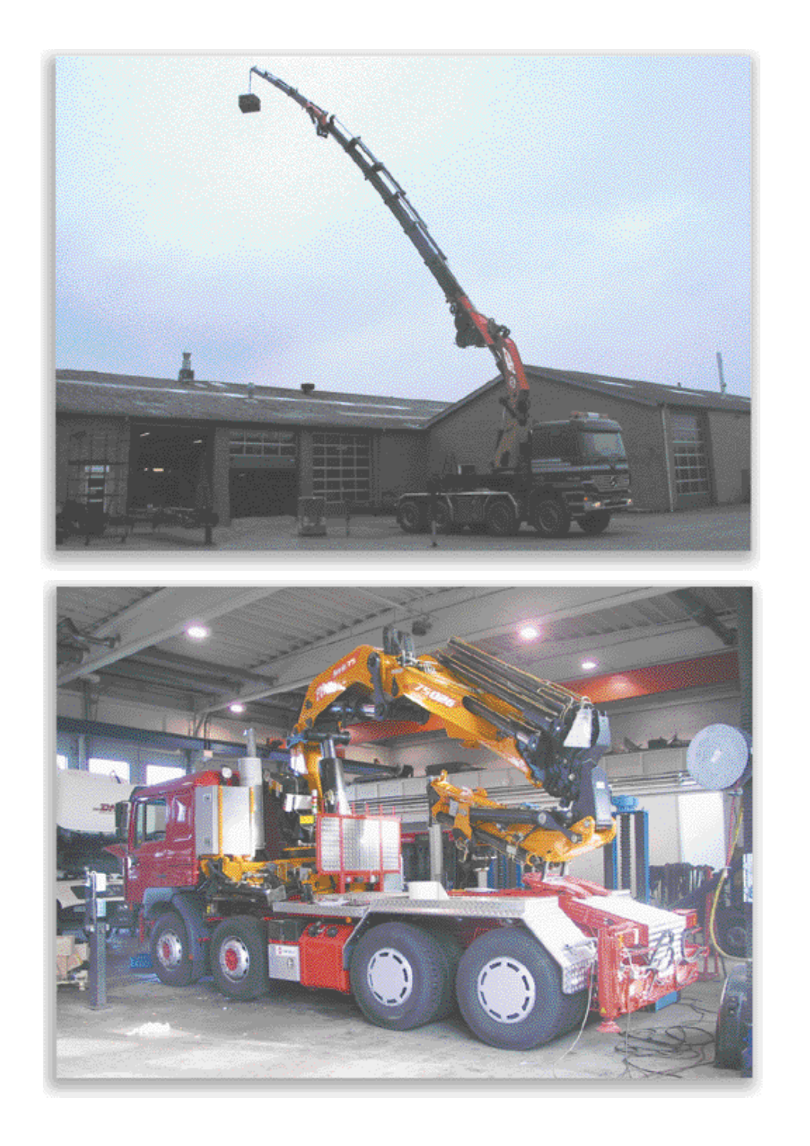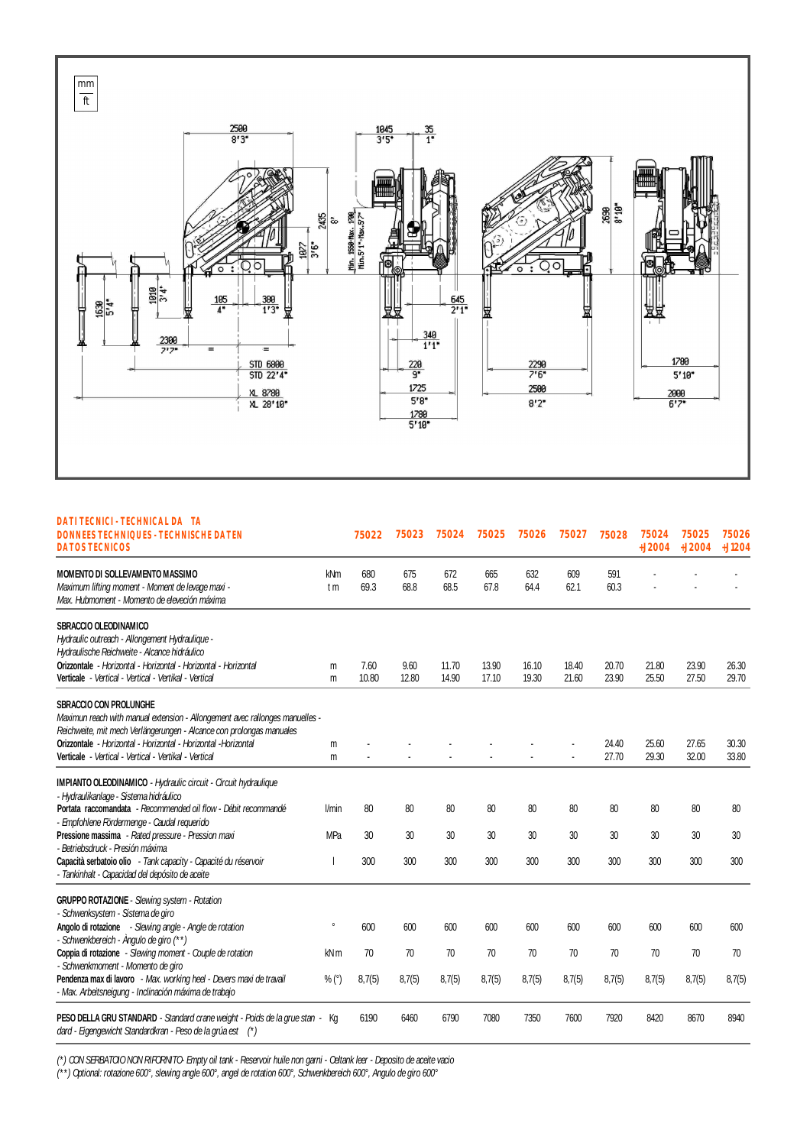

## **DATI TECNICI - TECHNICAL DA TA**

| <b>DONNEES TECHNIQUES - TECHNISCHE DATEN</b><br><b>DATOS TECNICOS</b>                                                                                                                                                                                                                                                       |                  | 75022         | 75023         | 75024          | 75025          | 75026          | 75027          | 75028          | 75024<br>+J2004 | 75025<br><b>+J2004</b> | 75026<br>+J1204 |
|-----------------------------------------------------------------------------------------------------------------------------------------------------------------------------------------------------------------------------------------------------------------------------------------------------------------------------|------------------|---------------|---------------|----------------|----------------|----------------|----------------|----------------|-----------------|------------------------|-----------------|
| MOMENTO DI SOLLEVAMENTO MASSIMO<br>Maximum lifting moment - Moment de levage maxi -<br>Max. Hubmoment - Momento de eleveción máxima                                                                                                                                                                                         | kNm<br>t m       | 680<br>69.3   | 675<br>68.8   | 672<br>68.5    | 665<br>67.8    | 632<br>64.4    | 609<br>62.1    | 591<br>60.3    |                 |                        |                 |
| SBRACCIO OLEODINAMICO<br>Hydraulic outreach - Allongement Hydraulique -<br>Hydraulische Reichweite - Alcance hidráulico<br>Orizzontale - Horizontal - Horizontal - Horizontal - Horizontal<br>Verticale - Vertical - Vertical - Vertikal - Vertical                                                                         | m<br>m           | 7.60<br>10.80 | 9.60<br>12.80 | 11.70<br>14.90 | 13.90<br>17.10 | 16.10<br>19.30 | 18.40<br>21.60 | 20.70<br>23.90 | 21.80<br>25.50  | 23.90<br>27.50         | 26.30<br>29.70  |
| <b>SBRACCIO CON PROLUNGHE</b><br>Maximun reach with manual extension - Allongement avec rallonges manuelles -<br>Reichweite, mit mech Verlängerungen - Alcance con prolongas manuales<br>Orizzontale - Horizontal - Horizontal - Horizontal - Horizontal<br>Verticale - Vertical - Vertical - Vertikal - Vertical           | m<br>m           |               |               |                |                |                |                | 24.40<br>27.70 | 25.60<br>29.30  | 27.65<br>32.00         | 30.30<br>33.80  |
| <b>IMPIANTO OLEODINAMICO</b> - Hydraulic circuit - Circuit hydraulique<br>- Hydraulikanlage - Sistema hidráulico<br>Portata raccomandata - Recommended oil flow - Débit recommandé<br>- Empfohlene Fördermenge - Caudal requerido<br>Pressione massima - Rated pressure - Pression maxi<br>- Betriebsdruck - Presión máxima | l/min<br>MPa     | 80<br>30      | 80<br>30      | 80<br>30       | 80<br>30       | 80<br>30       | 80<br>30       | 80<br>30       | 80<br>30        | 80<br>30               | 80<br>30        |
| Capacità serbatoio olio - Tank capacity - Capacité du réservoir<br>- Tankinhalt - Capacidad del depósito de aceite                                                                                                                                                                                                          |                  | 300           | 300           | 300            | 300            | 300            | 300            | 300            | 300             | 300                    | 300             |
| <b>GRUPPO ROTAZIONE</b> - Slewing system - Rotation<br>- Schwenksystem - Sistema de giro<br>Angolo di rotazione - Slewing angle - Angle de rotation                                                                                                                                                                         | $\circ$          | 600           | 600           | 600            | 600            | 600            | 600            | 600            | 600             | 600                    | 600             |
| - Schwenkbereich - Àngulo de giro (**)<br>Coppia di rotazione - Slewing moment - Couple de rotation                                                                                                                                                                                                                         | kN <sub>m</sub>  | 70            | 70            | 70             | 70             | 70             | 70             | 70             | 70              | 70                     | 70              |
| - Schwenkmoment - Momento de giro<br>Pendenza max di lavoro - Max. working heel - Devers maxi de travail<br>- Max. Arbeitsneigung - Inclinación máxima de trabajo                                                                                                                                                           | $%$ $(^{\circ})$ | 8,7(5)        | 8,7(5)        | 8,7(5)         | 8,7(5)         | 8,7(5)         | 8,7(5)         | 8,7(5)         | 8,7(5)          | 8,7(5)                 | 8,7(5)          |
| PESO DELLA GRU STANDARD - Standard crane weight - Poids de la grue stan - Kg<br>dard - Eigengewicht Standardkran - Peso de la grúa est (*)                                                                                                                                                                                  |                  | 6190          | 6460          | 6790           | 7080           | 7350           | 7600           | 7920           | 8420            | 8670                   | 8940            |

*(\*) CON SERBATOIO NON RIFORNITO- Empty oil tank - Reservoir huile non garni - Oeltank leer - Deposito de aceite vacio*

*(\*\*) Optional: rotazione 600°, slewing angle 600°, angel de rotation 600°, Schwenkbereich 600°, Angulo de giro 600°*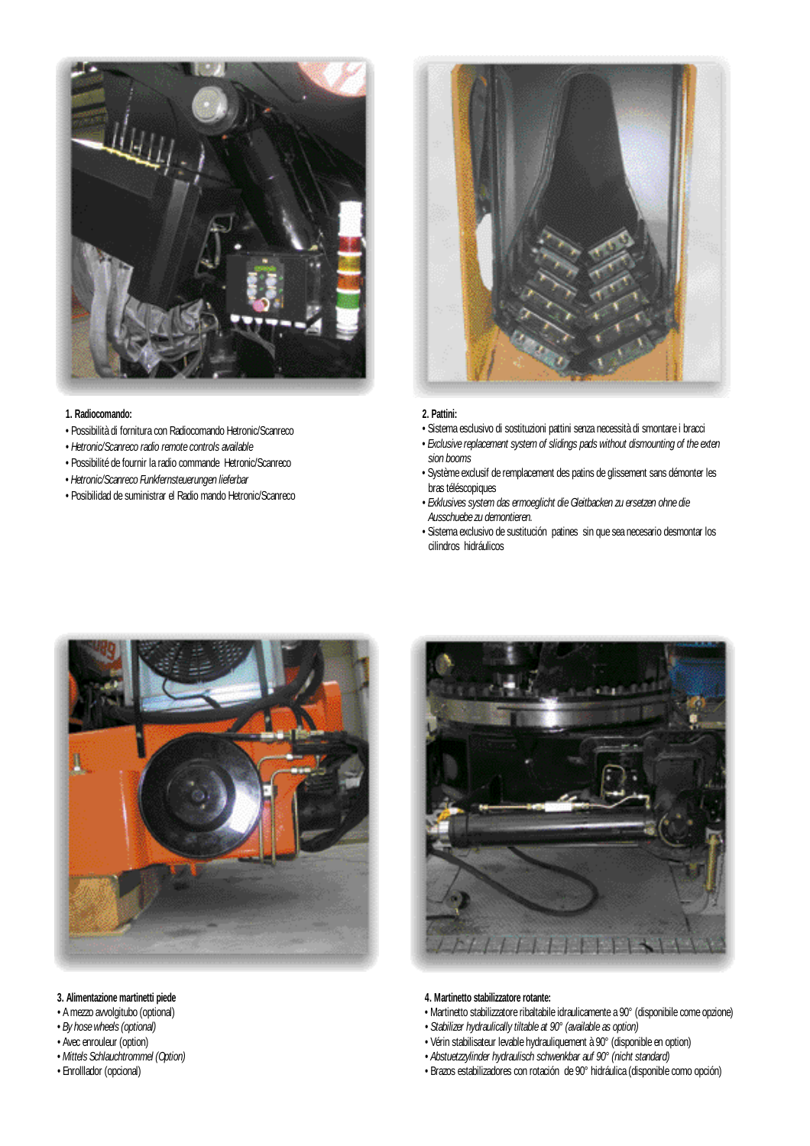

#### **1. Radiocomando:**

- Possibilità di fornitura con Radiocomando Hetronic/Scanreco
- *Hetronic/Scanreco radio remote controls available*
- Possibilité de fournir la radio commande Hetronic/Scanreco
- *Hetronic/Scanreco Funkfernsteuerungen lieferbar*
- Posibilidad de suministrar el Radio mando Hetronic/Scanreco



#### **2. Pattini:**

- Sistema esclusivo di sostituzioni pattini senza necessità di smontare i bracci
- *Exclusive replacement system of slidings pads without dismounting of the exten sion booms*
- Système exclusif de remplacement des patins de glissement sans démonter les bras téléscopiques
- *Exklusives system das ermoeglicht die Gleitbacken zu ersetzen ohne die Ausschuebe zu demontieren.*
- Sistema exclusivo de sustitución patines sin que sea necesario desmontar los cilindros hidráulicos



#### **3. Alimentazione martinetti piede**

- A mezzo avvolgitubo (optional)
- *By hose wheels (optional)*
- Avec enrouleur (option)
- *Mittels Schlauchtrommel (Option)*
- Enrolllador (opcional)



- **4. Martinetto stabilizzatore rotante:**
- Martinetto stabilizzatore ribaltabile idraulicamente a 90° (disponibile come opzione)
- *Stabilizer hydraulically tiltable at 90° (available as option)*
- Vérin stabilisateur levable hydrauliquement à 90° (disponible en option)
- *Abstuetzzylinder hydraulisch schwenkbar auf 90° (nicht standard)*
- Brazos estabilizadores con rotación de 90° hidráulica (disponible como opción)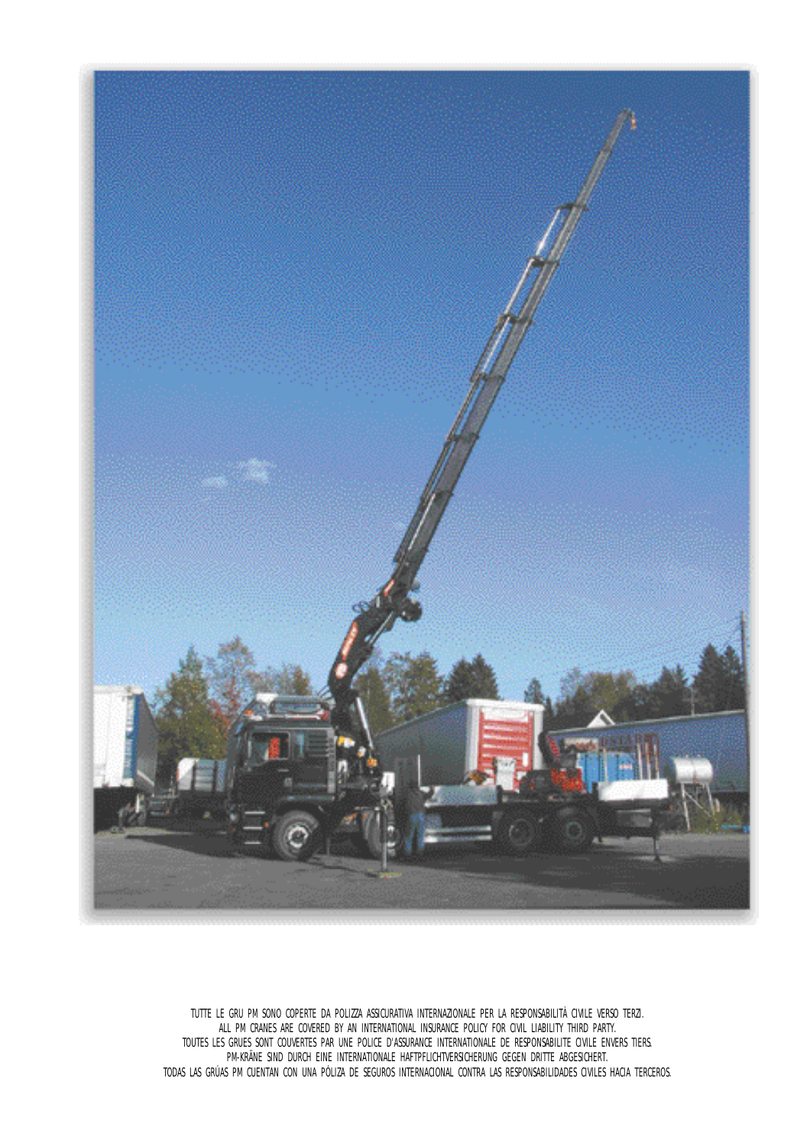

TUTTE LE GRU PM SONO COPERTE DA POLIZZA ASSICURATIVA INTERNAZIONALE PER LA RESPONSABILITÀ CIVILE VERSO TERZI. ALL PM CRANES ARE COVERED BY AN INTERNATIONAL INSURANCE POLICY FOR CIVIL LIABILITY THIRD PARTY. TOUTES LES GRUES SONT COUVERTES PAR UNE POLICE D'ASSURANCE INTERNATIONALE DE RESPONSABILITE CIVILE ENVERS TIERS. PM-KRÄNE SIND DURCH EINE INTERNATIONALE HAFTPFLICHTVERSICHERUNG GEGEN DRITTE ABGESICHERT. TODAS LAS GRÚAS PM CUENTAN CON UNA PÓLIZA DE SEGUROS INTERNACIONAL CONTRA LAS RESPONSABILIDADES CIVILES HACIA TERCEROS.